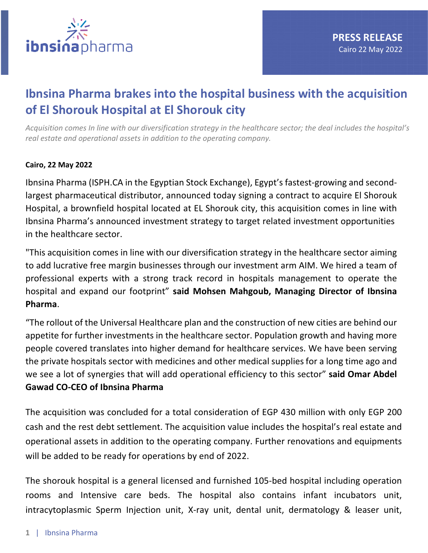

## **Ibnsina Pharma brakes into the hospital business with the acquisition of El Shorouk Hospital at El Shorouk city**

*Acquisition comes In line with our diversification strategy in the healthcare sector; the deal includes the hospital's real estate and operational assets in addition to the operating company.*

## **Cairo, 22 May 2022**

Ibnsina Pharma (ISPH.CA in the Egyptian Stock Exchange), Egypt's fastest-growing and secondlargest pharmaceutical distributor, announced today signing a contract to acquire El Shorouk Hospital, a brownfield hospital located at EL Shorouk city, this acquisition comes in line with Ibnsina Pharma's announced investment strategy to target related investment opportunities in the healthcare sector.

"This acquisition comes in line with our diversification strategy in the healthcare sector aiming to add lucrative free margin businesses through our investment arm AIM. We hired a team of professional experts with a strong track record in hospitals management to operate the hospital and expand our footprint" **said Mohsen Mahgoub, Managing Director of Ibnsina Pharma**.

"The rollout of the Universal Healthcare plan and the construction of new cities are behind our appetite for further investments in the healthcare sector. Population growth and having more people covered translates into higher demand for healthcare services. We have been serving the private hospitals sector with medicines and other medical supplies for a long time ago and we see a lot of synergies that will add operational efficiency to this sector" **said Omar Abdel Gawad CO-CEO of Ibnsina Pharma**

The acquisition was concluded for a total consideration of EGP 430 million with only EGP 200 cash and the rest debt settlement. The acquisition value includes the hospital's real estate and operational assets in addition to the operating company. Further renovations and equipments will be added to be ready for operations by end of 2022.

The shorouk hospital is a general licensed and furnished 105-bed hospital including operation rooms and Intensive care beds. The hospital also contains infant incubators unit, intracytoplasmic Sperm Injection unit, X-ray unit, dental unit, dermatology & leaser unit,